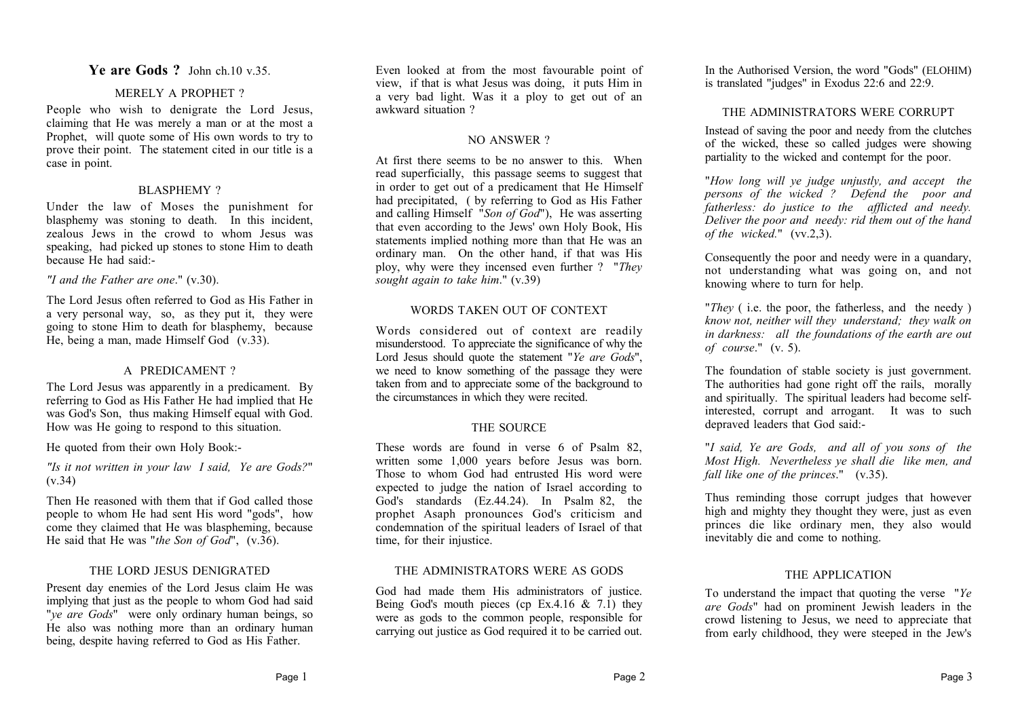### BLASPHEMY ?

Under the law of Moses the punishment for blasphemy was stoning to death. In this incident, zealous Jews in the crowd to whom Jesus was speaking, had picked up stones to stone Him to death because He had said:-

**Ye are Gods ?** John ch.10 v.35. MERELY A PROPHET? People who wish to denigrate the Lord Jesus, claiming that He was merely a man or at the most a Prophet, will quote some of His own words to try to prove their point. The statement cited in our title is a

#### *"I and the Father are one*." (v.30).

case in point.

The Lord Jesus often referred to God as His Father in a very personal way, so, as they put it, they were going to stone Him to death for blasphemy, because He, being a man, made Himself God (v.33).

#### A PREDICAMENT ?

The Lord Jesus was apparently in a predicament. By referring to God as His Father He had implied that He was God's Son, thus making Himself equal with God. How was He going to respond to this situation.

He quoted from their own Holy Book:-

#### *"Is it not written in your law I said, Ye are Gods?*" (v.34)

Then He reasoned with them that if God called those people to whom He had sent His word "gods", how come they claimed that He was blaspheming, because He said that He was "*the Son of God*", (v.36).

#### THE LORD JESUS DENIGRATED

Present day enemies of the Lord Jesus claim He was implying that just as the people to whom God had said "*ye are Gods*" were only ordinary human beings, so He also was nothing more than an ordinary human being, despite having referred to God as His Father.

Even looked at from the most favourable point of view, if that is what Jesus was doing, it puts Him in a very bad light. Was it a ploy to get out of an awkward situation ?

#### NO ANSWER ?

At first there seems to be no answer to this. When read superficially, this passage seems to suggest that in order to get out of a predicament that He Himself had precipitated, ( by referring to God as His Father and calling Himself "*Son of God*"), He was asserting that even according to the Jews' own Holy Book, His statements implied nothing more than that He was an ordinary man. On the other hand, if that was His ploy, why were they incensed even further ? "*They sought again to take him*." (v.39)

#### WORDS TAKEN OUT OF CONTEXT

Words considered out of context are readily misunderstood. To appreciate the significance of why the Lord Jesus should quote the statement "*Ye are Gods*", we need to know something of the passage they were taken from and to appreciate some of the background to the circumstances in which they were recited.

#### THE SOURCE

These words are found in verse 6 of Psalm 82, written some 1,000 years before Jesus was born. Those to whom God had entrusted His word were expected to judge the nation of Israel according to God's standards (Ez.44.24). In Psalm 82, the prophet Asaph pronounces God's criticism and condemnation of the spiritual leaders of Israel of that time, for their injustice.

#### THE ADMINISTRATORS WERE AS GODS

God had made them His administrators of justice. Being God's mouth pieces (cp Ex.4.16  $\&$  7.1) they were as gods to the common people, responsible for carrying out justice as God required it to be carried out. In the Authorised Version, the word "Gods" (ELOHIM) is translated "judges" in Exodus 22:6 and 22:9.

#### THE ADMINISTRATORS WERE CORRUPT

Instead of saving the poor and needy from the clutches of the wicked, these so called judges were showing partiality to the wicked and contempt for the poor.

"*How long will ye judge unjustly, and accept the persons of the wicked ? Defend the poor and fatherless: do justice to the afflicted and needy. Deliver the poor and needy: rid them out of the hand of the wicked.*" (vv.2,3).

Consequently the poor and needy were in a quandary, not understanding what was going on, and not knowing where to turn for help.

"*They* ( i.e. the poor, the fatherless, and the needy ) *know not, neither will they understand; they walk on in darkness: all the foundations of the earth are out of course*." (v. 5).

The foundation of stable society is just government. The authorities had gone right off the rails, morally and spiritually. The spiritual leaders had become selfinterested, corrupt and arrogant. It was to such depraved leaders that God said:-

"*I said, Ye are Gods, and all of you sons of the Most High. Nevertheless ye shall die like men, and fall like one of the princes*." (v.35).

Thus reminding those corrupt judges that however high and mighty they thought they were, just as even princes die like ordinary men, they also would inevitably die and come to nothing.

#### THE APPLICATION

To understand the impact that quoting the verse "*Ye are Gods*" had on prominent Jewish leaders in the crowd listening to Jesus, we need to appreciate that from early childhood, they were steeped in the Jew's